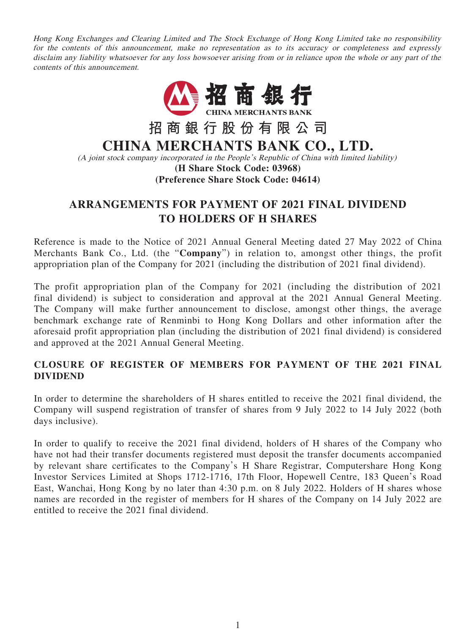Hong Kong Exchanges and Clearing Limited and The Stock Exchange of Hong Kong Limited take no responsibility for the contents of this announcement, make no representation as to its accuracy or completeness and expressly disclaim any liability whatsoever for any loss howsoever arising from or in reliance upon the whole or any part of the contents of this announcement.



# **ARRANGEMENTS FOR PAYMENT OF 2021 FINAL DIVIDEND TO HOLDERS OF H SHARES**

Reference is made to the Notice of 2021 Annual General Meeting dated 27 May 2022 of China Merchants Bank Co., Ltd. (the "**Company**") in relation to, amongst other things, the profit appropriation plan of the Company for 2021 (including the distribution of 2021 final dividend).

The profit appropriation plan of the Company for 2021 (including the distribution of 2021 final dividend) is subject to consideration and approval at the 2021 Annual General Meeting. The Company will make further announcement to disclose, amongst other things, the average benchmark exchange rate of Renminbi to Hong Kong Dollars and other information after the aforesaid profit appropriation plan (including the distribution of 2021 final dividend) is considered and approved at the 2021 Annual General Meeting.

## **CLOSURE OF REGISTER OF MEMBERS FOR PAYMENT OF THE 2021 FINAL DIVIDEND**

In order to determine the shareholders of H shares entitled to receive the 2021 final dividend, the Company will suspend registration of transfer of shares from 9 July 2022 to 14 July 2022 (both days inclusive).

In order to qualify to receive the 2021 final dividend, holders of H shares of the Company who have not had their transfer documents registered must deposit the transfer documents accompanied by relevant share certificates to the Company's H Share Registrar, Computershare Hong Kong Investor Services Limited at Shops 1712-1716, 17th Floor, Hopewell Centre, 183 Queen's Road East, Wanchai, Hong Kong by no later than 4:30 p.m. on 8 July 2022. Holders of H shares whose names are recorded in the register of members for H shares of the Company on 14 July 2022 are entitled to receive the 2021 final dividend.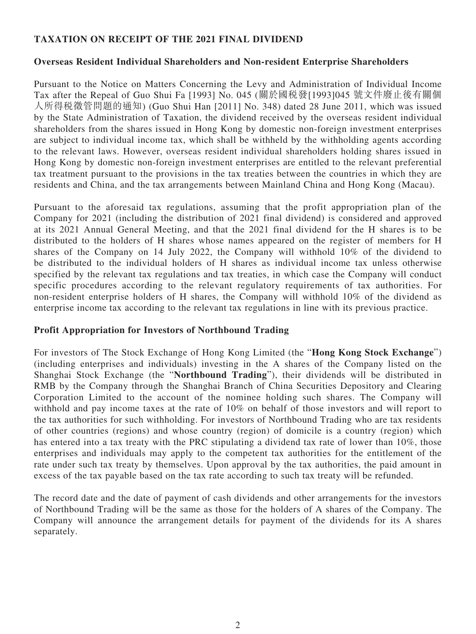## **TAXATION ON RECEIPT OF THE 2021 FINAL DIVIDEND**

#### **Overseas Resident Individual Shareholders and Non-resident Enterprise Shareholders**

Pursuant to the Notice on Matters Concerning the Levy and Administration of Individual Income Tax after the Repeal of Guo Shui Fa [1993] No. 045 (關於國稅發[1993]045 號文件廢止後有關個 人所得稅徵管問題的通知) (Guo Shui Han [2011] No. 348) dated 28 June 2011, which was issued by the State Administration of Taxation, the dividend received by the overseas resident individual shareholders from the shares issued in Hong Kong by domestic non-foreign investment enterprises are subject to individual income tax, which shall be withheld by the withholding agents according to the relevant laws. However, overseas resident individual shareholders holding shares issued in Hong Kong by domestic non-foreign investment enterprises are entitled to the relevant preferential tax treatment pursuant to the provisions in the tax treaties between the countries in which they are residents and China, and the tax arrangements between Mainland China and Hong Kong (Macau).

Pursuant to the aforesaid tax regulations, assuming that the profit appropriation plan of the Company for 2021 (including the distribution of 2021 final dividend) is considered and approved at its 2021 Annual General Meeting, and that the 2021 final dividend for the H shares is to be distributed to the holders of H shares whose names appeared on the register of members for H shares of the Company on 14 July 2022, the Company will withhold 10% of the dividend to be distributed to the individual holders of H shares as individual income tax unless otherwise specified by the relevant tax regulations and tax treaties, in which case the Company will conduct specific procedures according to the relevant regulatory requirements of tax authorities. For non-resident enterprise holders of H shares, the Company will withhold 10% of the dividend as enterprise income tax according to the relevant tax regulations in line with its previous practice.

#### **Profit Appropriation for Investors of Northbound Trading**

For investors of The Stock Exchange of Hong Kong Limited (the "**Hong Kong Stock Exchange**") (including enterprises and individuals) investing in the A shares of the Company listed on the Shanghai Stock Exchange (the "**Northbound Trading**"), their dividends will be distributed in RMB by the Company through the Shanghai Branch of China Securities Depository and Clearing Corporation Limited to the account of the nominee holding such shares. The Company will withhold and pay income taxes at the rate of 10% on behalf of those investors and will report to the tax authorities for such withholding. For investors of Northbound Trading who are tax residents of other countries (regions) and whose country (region) of domicile is a country (region) which has entered into a tax treaty with the PRC stipulating a dividend tax rate of lower than 10%, those enterprises and individuals may apply to the competent tax authorities for the entitlement of the rate under such tax treaty by themselves. Upon approval by the tax authorities, the paid amount in excess of the tax payable based on the tax rate according to such tax treaty will be refunded.

The record date and the date of payment of cash dividends and other arrangements for the investors of Northbound Trading will be the same as those for the holders of A shares of the Company. The Company will announce the arrangement details for payment of the dividends for its A shares separately.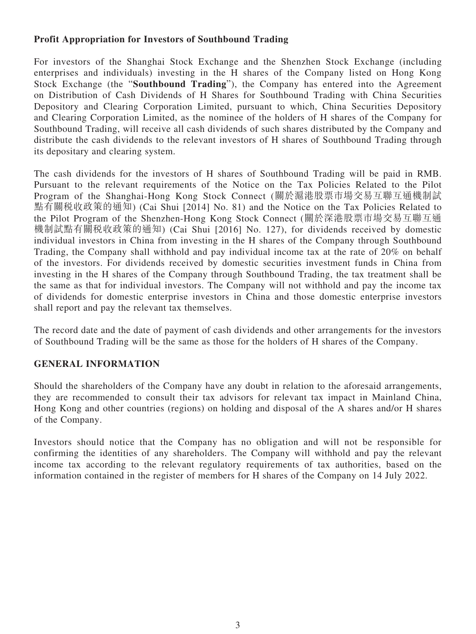## **Profit Appropriation for Investors of Southbound Trading**

For investors of the Shanghai Stock Exchange and the Shenzhen Stock Exchange (including enterprises and individuals) investing in the H shares of the Company listed on Hong Kong Stock Exchange (the "**Southbound Trading**"), the Company has entered into the Agreement on Distribution of Cash Dividends of H Shares for Southbound Trading with China Securities Depository and Clearing Corporation Limited, pursuant to which, China Securities Depository and Clearing Corporation Limited, as the nominee of the holders of H shares of the Company for Southbound Trading, will receive all cash dividends of such shares distributed by the Company and distribute the cash dividends to the relevant investors of H shares of Southbound Trading through its depositary and clearing system.

The cash dividends for the investors of H shares of Southbound Trading will be paid in RMB. Pursuant to the relevant requirements of the Notice on the Tax Policies Related to the Pilot Program of the Shanghai-Hong Kong Stock Connect (關於滬港股票市場交易互聯互通機制試 點有關稅收政策的通知) (Cai Shui [2014] No. 81) and the Notice on the Tax Policies Related to the Pilot Program of the Shenzhen-Hong Kong Stock Connect (關於深港股票市場交易互聯互通 機制試點有關稅收政策的通知) (Cai Shui [2016] No. 127), for dividends received by domestic individual investors in China from investing in the H shares of the Company through Southbound Trading, the Company shall withhold and pay individual income tax at the rate of 20% on behalf of the investors. For dividends received by domestic securities investment funds in China from investing in the H shares of the Company through Southbound Trading, the tax treatment shall be the same as that for individual investors. The Company will not withhold and pay the income tax of dividends for domestic enterprise investors in China and those domestic enterprise investors shall report and pay the relevant tax themselves.

The record date and the date of payment of cash dividends and other arrangements for the investors of Southbound Trading will be the same as those for the holders of H shares of the Company.

## **GENERAL INFORMATION**

Should the shareholders of the Company have any doubt in relation to the aforesaid arrangements, they are recommended to consult their tax advisors for relevant tax impact in Mainland China, Hong Kong and other countries (regions) on holding and disposal of the A shares and/or H shares of the Company.

Investors should notice that the Company has no obligation and will not be responsible for confirming the identities of any shareholders. The Company will withhold and pay the relevant income tax according to the relevant regulatory requirements of tax authorities, based on the information contained in the register of members for H shares of the Company on 14 July 2022.